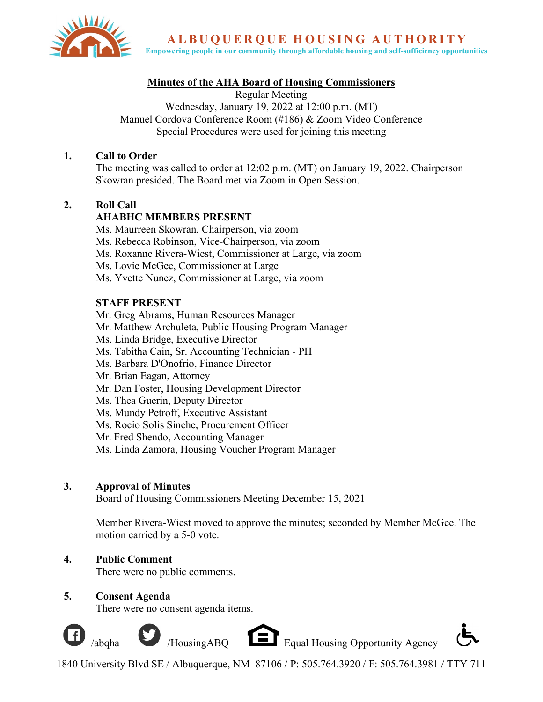

**ALBUOUEROUE HOUSING AUTHORITY** 

**Empowering people in our community through affordable housing and self-sufficiency opportunities**

# **Minutes of the AHA Board of Housing Commissioners**

Regular Meeting Wednesday, January 19, 2022 at 12:00 p.m. (MT) Manuel Cordova Conference Room (#186) & Zoom Video Conference Special Procedures were used for joining this meeting

## **1. Call to Order**

The meeting was called to order at 12:02 p.m. (MT) on January 19, 2022. Chairperson Skowran presided. The Board met via Zoom in Open Session.

# **2. Roll Call**

# **AHABHC MEMBERS PRESENT**

Ms. Maurreen Skowran, Chairperson, via zoom Ms. Rebecca Robinson, Vice-Chairperson, via zoom Ms. Roxanne Rivera-Wiest, Commissioner at Large, via zoom Ms. Lovie McGee, Commissioner at Large Ms. Yvette Nunez, Commissioner at Large, via zoom

# **STAFF PRESENT**

Mr. Greg Abrams, Human Resources Manager Mr. Matthew Archuleta, Public Housing Program Manager Ms. Linda Bridge, Executive Director Ms. Tabitha Cain, Sr. Accounting Technician - PH Ms. Barbara D'Onofrio, Finance Director Mr. Brian Eagan, Attorney Mr. Dan Foster, Housing Development Director Ms. Thea Guerin, Deputy Director Ms. Mundy Petroff, Executive Assistant Ms. Rocio Solis Sinche, Procurement Officer Mr. Fred Shendo, Accounting Manager Ms. Linda Zamora, Housing Voucher Program Manager

## **3. Approval of Minutes**

Board of Housing Commissioners Meeting December 15, 2021

Member Rivera-Wiest moved to approve the minutes; seconded by Member McGee. The motion carried by a 5-0 vote.

# **4. Public Comment**

There were no public comments.

## **5. Consent Agenda**

There were no consent agenda items.





1840 University Blvd SE / Albuquerque, NM 87106 / P: 505.764.3920 / F: 505.764.3981 / TTY 711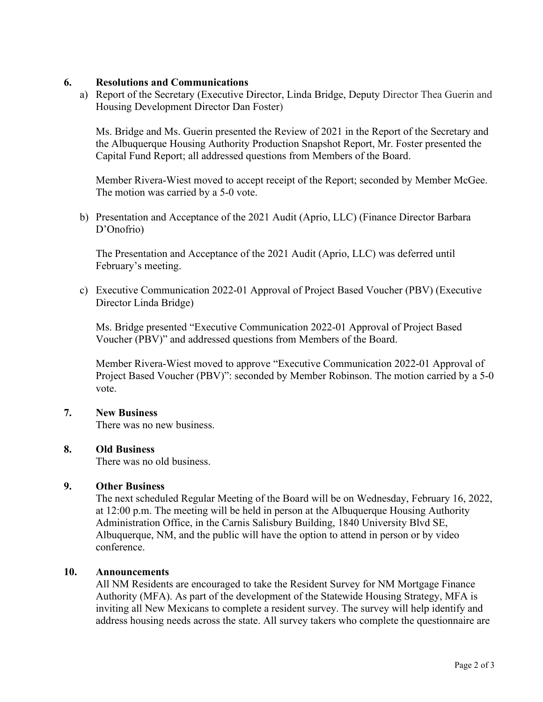## **6. Resolutions and Communications**

a) Report of the Secretary (Executive Director, Linda Bridge, Deputy Director Thea Guerin and Housing Development Director Dan Foster)

Ms. Bridge and Ms. Guerin presented the Review of 2021 in the Report of the Secretary and the Albuquerque Housing Authority Production Snapshot Report, Mr. Foster presented the Capital Fund Report; all addressed questions from Members of the Board.

Member Rivera-Wiest moved to accept receipt of the Report; seconded by Member McGee. The motion was carried by a 5-0 vote.

b) Presentation and Acceptance of the 2021 Audit (Aprio, LLC) (Finance Director Barbara D'Onofrio)

The Presentation and Acceptance of the 2021 Audit (Aprio, LLC) was deferred until February's meeting.

c) Executive Communication 2022-01 Approval of Project Based Voucher (PBV) (Executive Director Linda Bridge)

Ms. Bridge presented "Executive Communication 2022-01 Approval of Project Based Voucher (PBV)" and addressed questions from Members of the Board.

Member Rivera-Wiest moved to approve "Executive Communication 2022-01 Approval of Project Based Voucher (PBV)": seconded by Member Robinson. The motion carried by a 5-0 vote.

## **7. New Business**

There was no new business.

## **8. Old Business**

There was no old business.

## **9. Other Business**

The next scheduled Regular Meeting of the Board will be on Wednesday, February 16, 2022, at 12:00 p.m. The meeting will be held in person at the Albuquerque Housing Authority Administration Office, in the Carnis Salisbury Building, 1840 University Blvd SE, Albuquerque, NM, and the public will have the option to attend in person or by video conference.

## **10. Announcements**

All NM Residents are encouraged to take the Resident Survey for NM Mortgage Finance Authority (MFA). As part of the development of the Statewide Housing Strategy, MFA is inviting all New Mexicans to complete a resident survey. The survey will help identify and address housing needs across the state. All survey takers who complete the questionnaire are